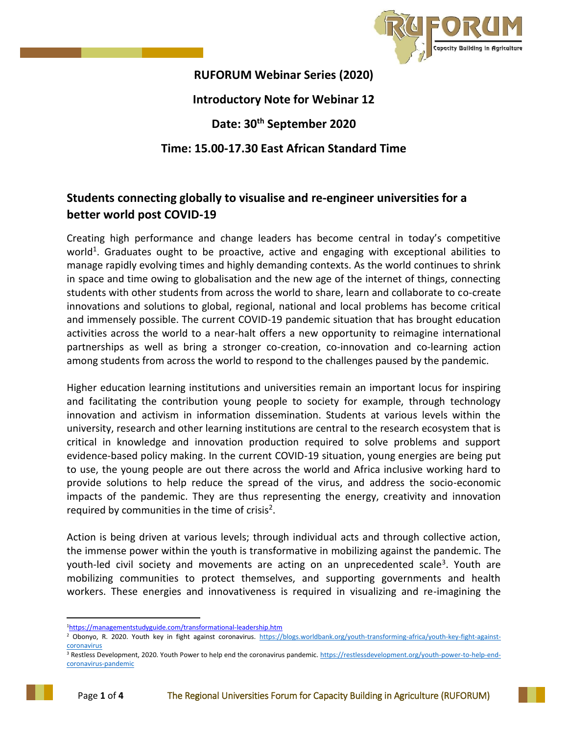

**RUFORUM Webinar Series (2020) Introductory Note for Webinar 12 Date: 30th September 2020 Time: 15.00-17.30 East African Standard Time**

## **Students connecting globally to visualise and re-engineer universities for a better world post COVID-19**

Creating high performance and change leaders has become central in today's competitive world<sup>1</sup>. Graduates ought to be proactive, active and engaging with exceptional abilities to manage rapidly evolving times and highly demanding contexts. As the world continues to shrink in space and time owing to globalisation and the new age of the internet of things, connecting students with other students from across the world to share, learn and collaborate to co-create innovations and solutions to global, regional, national and local problems has become critical and immensely possible. The current COVID-19 pandemic situation that has brought education activities across the world to a near-halt offers a new opportunity to reimagine international partnerships as well as bring a stronger co-creation, co-innovation and co-learning action among students from across the world to respond to the challenges paused by the pandemic.

Higher education learning institutions and universities remain an important locus for inspiring and facilitating the contribution young people to society for example, through technology innovation and activism in information dissemination. Students at various levels within the university, research and other learning institutions are central to the research ecosystem that is critical in knowledge and innovation production required to solve problems and support evidence-based policy making. In the current COVID-19 situation, young energies are being put to use, the young people are out there across the world and Africa inclusive working hard to provide solutions to help reduce the spread of the virus, and address the socio-economic impacts of the pandemic. They are thus representing the energy, creativity and innovation required by communities in the time of crisis<sup>2</sup>.

Action is being driven at various levels; through individual acts and through collective action, the immense power within the youth is transformative in mobilizing against the pandemic. The youth-led civil society and movements are acting on an unprecedented scale<sup>3</sup>. Youth are mobilizing communities to protect themselves, and supporting governments and health workers. These energies and innovativeness is required in visualizing and re-imagining the

 $\overline{a}$ 

<sup>1</sup><https://managementstudyguide.com/transformational-leadership.htm>

<sup>&</sup>lt;sup>2</sup> Obonyo, R. 2020. Youth key in fight against coronavirus. [https://blogs.worldbank.org/youth-transforming-africa/youth-key-fight-against](https://blogs.worldbank.org/youth-transforming-africa/youth-key-fight-against-coronavirus)**[coronavirus](https://blogs.worldbank.org/youth-transforming-africa/youth-key-fight-against-coronavirus)** 

<sup>&</sup>lt;sup>3</sup> Restless Development, 2020. Youth Power to help end the coronavirus pandemic[. https://restlessdevelopment.org/youth-power-to-help-end](https://restlessdevelopment.org/youth-power-to-help-end-coronavirus-pandemic)[coronavirus-pandemic](https://restlessdevelopment.org/youth-power-to-help-end-coronavirus-pandemic)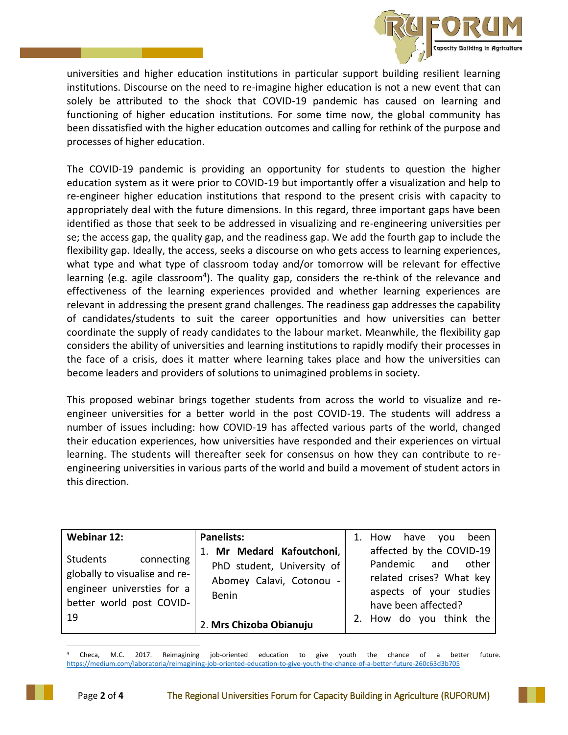

universities and higher education institutions in particular support building resilient learning institutions. Discourse on the need to re-imagine higher education is not a new event that can solely be attributed to the shock that COVID-19 pandemic has caused on learning and functioning of higher education institutions. For some time now, the global community has been dissatisfied with the higher education outcomes and calling for rethink of the purpose and processes of higher education.

The COVID-19 pandemic is providing an opportunity for students to question the higher education system as it were prior to COVID-19 but importantly offer a visualization and help to re-engineer higher education institutions that respond to the present crisis with capacity to appropriately deal with the future dimensions. In this regard, three important gaps have been identified as those that seek to be addressed in visualizing and re-engineering universities per se; the access gap, the quality gap, and the readiness gap. We add the fourth gap to include the flexibility gap. Ideally, the access, seeks a discourse on who gets access to learning experiences, what type and what type of classroom today and/or tomorrow will be relevant for effective learning (e.g. agile classroom<sup>4</sup>). The quality gap, considers the re-think of the relevance and effectiveness of the learning experiences provided and whether learning experiences are relevant in addressing the present grand challenges. The readiness gap addresses the capability of candidates/students to suit the career opportunities and how universities can better coordinate the supply of ready candidates to the labour market. Meanwhile, the flexibility gap considers the ability of universities and learning institutions to rapidly modify their processes in the face of a crisis, does it matter where learning takes place and how the universities can become leaders and providers of solutions to unimagined problems in society.

This proposed webinar brings together students from across the world to visualize and reengineer universities for a better world in the post COVID-19. The students will address a number of issues including: how COVID-19 has affected various parts of the world, changed their education experiences, how universities have responded and their experiences on virtual learning. The students will thereafter seek for consensus on how they can contribute to reengineering universities in various parts of the world and build a movement of student actors in this direction.

| <b>Webinar 12:</b>                                                                                                      | <b>Panelists:</b>                                                                              | 1. | How                     | have you                                                                                                           |           | been |
|-------------------------------------------------------------------------------------------------------------------------|------------------------------------------------------------------------------------------------|----|-------------------------|--------------------------------------------------------------------------------------------------------------------|-----------|------|
| connecting<br>Students<br>globally to visualise and re-<br>engineer universties for a<br>better world post COVID-<br>19 | 1. Mr Medard Kafoutchoni,  <br>PhD student, University of<br>Abomey Calavi, Cotonou -<br>Benin |    |                         | affected by the COVID-19<br>Pandemic<br>related crises? What key<br>aspects of your studies<br>have been affected? | and other |      |
|                                                                                                                         | 2. Mrs Chizoba Obianuju                                                                        |    | 2. How do you think the |                                                                                                                    |           |      |

<sup>4</sup> Checa, M.C. 2017. Reimagining job-oriented education to give youth the chance of a better future. <https://medium.com/laboratoria/reimagining-job-oriented-education-to-give-youth-the-chance-of-a-better-future-260c63d3b705>

 $\overline{a}$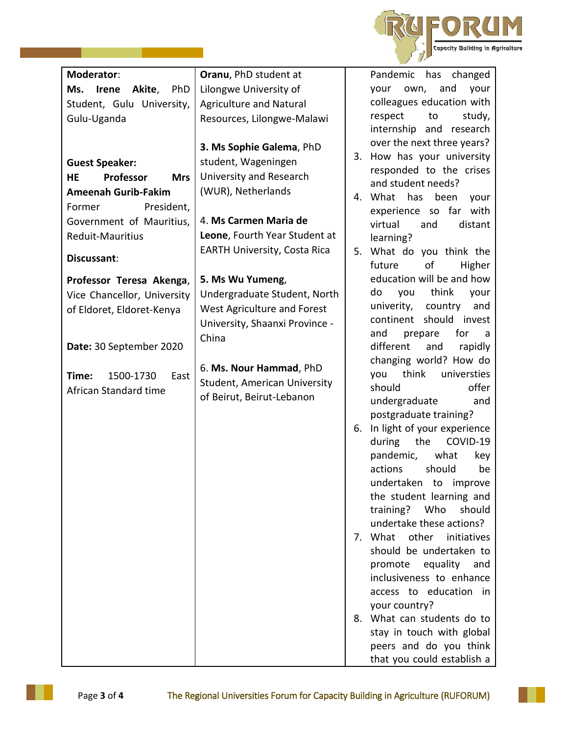

| Moderator:                           | Oranu, PhD student at               |                                 |
|--------------------------------------|-------------------------------------|---------------------------------|
|                                      |                                     | Pandemic<br>has<br>changed      |
| Ms. Irene<br>Akite,<br>PhD           | Lilongwe University of              | and<br>your<br>own,<br>your     |
| Student, Gulu University,            | <b>Agriculture and Natural</b>      | colleagues education with       |
| Gulu-Uganda                          | Resources, Lilongwe-Malawi          | respect<br>to<br>study,         |
|                                      |                                     | internship and research         |
|                                      | 3. Ms Sophie Galema, PhD            | over the next three years?      |
| <b>Guest Speaker:</b>                | student, Wageningen                 | 3. How has your university      |
| Professor<br><b>HE</b><br><b>Mrs</b> | University and Research             | responded to the crises         |
| <b>Ameenah Gurib-Fakim</b>           | (WUR), Netherlands                  | and student needs?              |
| President,<br>Former                 |                                     | 4. What has<br>been<br>your     |
| Government of Mauritius,             | 4. Ms Carmen Maria de               | experience so far with          |
|                                      |                                     | virtual<br>distant<br>and       |
| <b>Reduit-Mauritius</b>              | Leone, Fourth Year Student at       | learning?                       |
| Discussant:                          | <b>EARTH University, Costa Rica</b> | 5. What do you think the        |
|                                      |                                     | of<br>future<br>Higher          |
| Professor Teresa Akenga,             | 5. Ms Wu Yumeng,                    | education will be and how       |
| Vice Chancellor, University          | Undergraduate Student, North        | think<br>do<br>you<br>your      |
| of Eldoret, Eldoret-Kenya            | <b>West Agriculture and Forest</b>  | country<br>univerity,<br>and    |
|                                      | University, Shaanxi Province -      | should invest<br>continent      |
|                                      | China                               | for<br>and<br>prepare<br>a      |
| Date: 30 September 2020              |                                     | different<br>and<br>rapidly     |
|                                      | 6. Ms. Nour Hammad, PhD             | changing world? How do          |
| 1500-1730<br>East<br>Time:           |                                     | think<br>universties<br>you     |
| African Standard time                | Student, American University        | offer<br>should                 |
|                                      | of Beirut, Beirut-Lebanon           | undergraduate<br>and            |
|                                      |                                     | postgraduate training?          |
|                                      |                                     | 6. In light of your experience  |
|                                      |                                     | COVID-19<br>during<br>the       |
|                                      |                                     | what<br>pandemic,<br>key        |
|                                      |                                     | should<br>actions<br>be         |
|                                      |                                     | undertaken to<br>improve        |
|                                      |                                     | the student learning and        |
|                                      |                                     | training? Who<br>should         |
|                                      |                                     | undertake these actions?        |
|                                      |                                     | 7. What<br>other<br>initiatives |
|                                      |                                     | should be undertaken to         |
|                                      |                                     | promote equality<br>and         |
|                                      |                                     | inclusiveness to enhance        |
|                                      |                                     | access to education in          |
|                                      |                                     | your country?                   |
|                                      |                                     | 8. What can students do to      |
|                                      |                                     | stay in touch with global       |
|                                      |                                     | peers and do you think          |
|                                      |                                     | that you could establish a      |